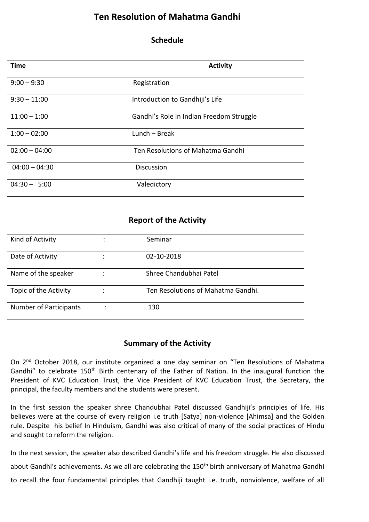## **Ten Resolution of Mahatma Gandhi**

## **Schedule**

| <b>Time</b>     | <b>Activity</b>                          |
|-----------------|------------------------------------------|
| $9:00 - 9:30$   | Registration                             |
| $9:30 - 11:00$  | Introduction to Gandhiji's Life          |
| $11:00 - 1:00$  | Gandhi's Role in Indian Freedom Struggle |
| $1:00 - 02:00$  | $Lunch - Break$                          |
| $02:00 - 04:00$ | Ten Resolutions of Mahatma Gandhi        |
| $04:00 - 04:30$ | <b>Discussion</b>                        |
| $04:30 - 5:00$  | Valedictory                              |

## **Report of the Activity**

| Kind of Activity              | Seminar                            |
|-------------------------------|------------------------------------|
| Date of Activity              | 02-10-2018                         |
| Name of the speaker           | Shree Chandubhai Patel             |
| Topic of the Activity         | Ten Resolutions of Mahatma Gandhi. |
| <b>Number of Participants</b> | 130                                |

## **Summary of the Activity**

On 2<sup>nd</sup> October 2018, our institute organized a one day seminar on "Ten Resolutions of Mahatma Gandhi" to celebrate 150<sup>th</sup> Birth centenary of the Father of Nation. In the inaugural function the President of KVC Education Trust, the Vice President of KVC Education Trust, the Secretary, the principal, the faculty members and the students were present.

In the first session the speaker shree Chandubhai Patel discussed Gandhiji's principles of life. His believes were at the course of every religion i.e truth [Satya] non-violence [Ahimsa] and the Golden rule. Despite his belief In Hinduism, Gandhi was also critical of many of the social practices of Hindu and sought to reform the religion.

In the next session, the speaker also described Gandhi's life and his freedom struggle. He also discussed about Gandhi's achievements. As we all are celebrating the 150<sup>th</sup> birth anniversary of Mahatma Gandhi to recall the four fundamental principles that Gandhiji taught i.e. truth, nonviolence, welfare of all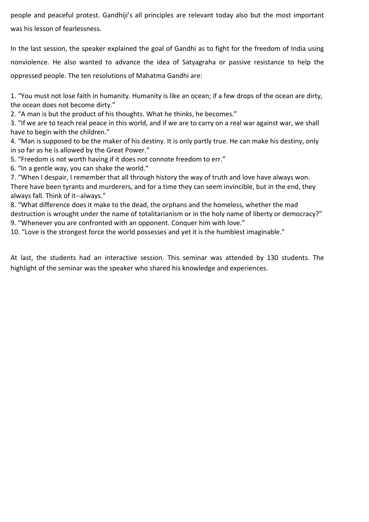people and peaceful protest. Gandhiji's all principles are relevant today also but the most important was his lesson of fearlessness.

In the last session, the speaker explained the goal of Gandhi as to fight for the freedom of India using nonviolence. He also wanted to advance the idea of Satyagraha or passive resistance to help the oppressed people. The ten resolutions of Mahatma Gandhi are:

1. "You must not lose faith in humanity. Humanity is like an ocean; if a few drops of the ocean are dirty, the ocean does not become dirty."

2. "A man is but the product of his thoughts. What he thinks, he becomes."

3. "If we are to teach real peace in this world, and if we are to carry on a real war against war, we shall have to begin with the children."

4. "Man is supposed to be the maker of his destiny. It is only partly true. He can make his destiny, only in so far as he is allowed by the Great Power."

5. "Freedom is not worth having if it does not connote freedom to err."

6. "In a gentle way, you can shake the world."

7. "When I despair, I remember that all through history the way of truth and love have always won. There have been tyrants and murderers, and for a time they can seem invincible, but in the end, they always fall. Think of it--always."

8. "What difference does it make to the dead, the orphans and the homeless, whether the mad destruction is wrought under the name of totalitarianism or in the holy name of liberty or democracy?"

9. "Whenever you are confronted with an opponent. Conquer him with love."

10. "Love is the strongest force the world possesses and yet it is the humblest imaginable."

At last, the students had an interactive session. This seminar was attended by 130 students. The highlight of the seminar was the speaker who shared his knowledge and experiences.